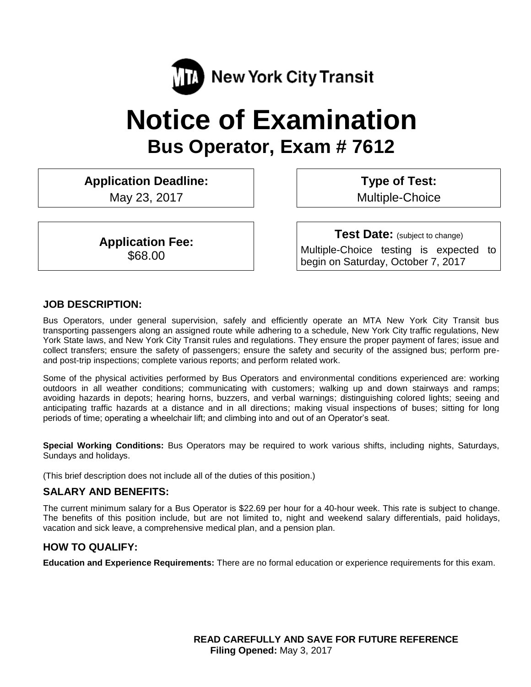

# **Notice of Examination Bus Operator, Exam # 7612**

**Application Deadline:** May 23, 2017

> **Application Fee:** \$68.00

**Type of Test:**  Multiple-Choice

**Test Date:** (subject to change) Multiple-Choice testing is expected to begin on Saturday, October 7, 2017

#### **JOB DESCRIPTION:**

Bus Operators, under general supervision, safely and efficiently operate an MTA New York City Transit bus transporting passengers along an assigned route while adhering to a schedule, New York City traffic regulations, New York State laws, and New York City Transit rules and regulations. They ensure the proper payment of fares; issue and collect transfers; ensure the safety of passengers; ensure the safety and security of the assigned bus; perform preand post-trip inspections; complete various reports; and perform related work.

Some of the physical activities performed by Bus Operators and environmental conditions experienced are: working outdoors in all weather conditions; communicating with customers; walking up and down stairways and ramps; avoiding hazards in depots; hearing horns, buzzers, and verbal warnings; distinguishing colored lights; seeing and anticipating traffic hazards at a distance and in all directions; making visual inspections of buses; sitting for long periods of time; operating a wheelchair lift; and climbing into and out of an Operator's seat.

**Special Working Conditions:** Bus Operators may be required to work various shifts, including nights, Saturdays, Sundays and holidays.

(This brief description does not include all of the duties of this position.)

## **SALARY AND BENEFITS:**

The current minimum salary for a Bus Operator is \$22.69 per hour for a 40-hour week. This rate is subject to change. The benefits of this position include, but are not limited to, night and weekend salary differentials, paid holidays, vacation and sick leave, a comprehensive medical plan, and a pension plan.

## **HOW TO QUALIFY:**

**Education and Experience Requirements:** There are no formal education or experience requirements for this exam.

**READ CAREFULLY AND SAVE FOR FUTURE REFERENCE Filing Opened:** May 3, 2017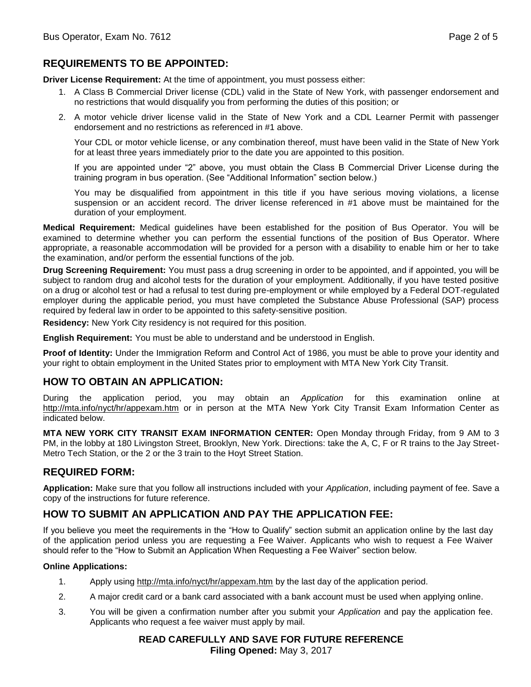## **REQUIREMENTS TO BE APPOINTED:**

**Driver License Requirement:** At the time of appointment, you must possess either:

- 1. A Class B Commercial Driver license (CDL) valid in the State of New York, with passenger endorsement and no restrictions that would disqualify you from performing the duties of this position; or
- 2. A motor vehicle driver license valid in the State of New York and a CDL Learner Permit with passenger endorsement and no restrictions as referenced in #1 above.

Your CDL or motor vehicle license, or any combination thereof, must have been valid in the State of New York for at least three years immediately prior to the date you are appointed to this position.

If you are appointed under "2" above, you must obtain the Class B Commercial Driver License during the training program in bus operation. (See "Additional Information" section below.)

You may be disqualified from appointment in this title if you have serious moving violations, a license suspension or an accident record. The driver license referenced in #1 above must be maintained for the duration of your employment.

**Medical Requirement:** Medical guidelines have been established for the position of Bus Operator. You will be examined to determine whether you can perform the essential functions of the position of Bus Operator. Where appropriate, a reasonable accommodation will be provided for a person with a disability to enable him or her to take the examination, and/or perform the essential functions of the job.

**Drug Screening Requirement:** You must pass a drug screening in order to be appointed, and if appointed, you will be subject to random drug and alcohol tests for the duration of your employment. Additionally, if you have tested positive on a drug or alcohol test or had a refusal to test during pre-employment or while employed by a Federal DOT-regulated employer during the applicable period, you must have completed the Substance Abuse Professional (SAP) process required by federal law in order to be appointed to this safety-sensitive position.

**Residency:** New York City residency is not required for this position.

**English Requirement:** You must be able to understand and be understood in English.

**Proof of Identity:** Under the Immigration Reform and Control Act of 1986, you must be able to prove your identity and your right to obtain employment in the United States prior to employment with MTA New York City Transit.

## **HOW TO OBTAIN AN APPLICATION:**

During the application period, you may obtain an *Application* for this examination online at <http://mta.info/nyct/hr/appexam.htm> or in person at the MTA New York City Transit Exam Information Center as indicated below.

**MTA NEW YORK CITY TRANSIT EXAM INFORMATION CENTER:** Open Monday through Friday, from 9 AM to 3 PM, in the lobby at 180 Livingston Street, Brooklyn, New York. Directions: take the A, C, F or R trains to the Jay Street-Metro Tech Station, or the 2 or the 3 train to the Hoyt Street Station.

## **REQUIRED FORM:**

**Application:** Make sure that you follow all instructions included with your *Application*, including payment of fee. Save a copy of the instructions for future reference.

## **HOW TO SUBMIT AN APPLICATION AND PAY THE APPLICATION FEE:**

If you believe you meet the requirements in the "How to Qualify" section submit an application online by the last day of the application period unless you are requesting a Fee Waiver. Applicants who wish to request a Fee Waiver should refer to the "How to Submit an Application When Requesting a Fee Waiver" section below.

#### **Online Applications:**

- 1. Apply using http://mta.info/nyct/hr/appexam.htm by the last day of the application period.
- 2. A major credit card or a bank card associated with a bank account must be used when applying online.
- 3. You will be given a confirmation number after you submit your *Application* and pay the application fee. Applicants who request a fee waiver must apply by mail.

**READ CAREFULLY AND SAVE FOR FUTURE REFERENCE Filing Opened:** May 3, 2017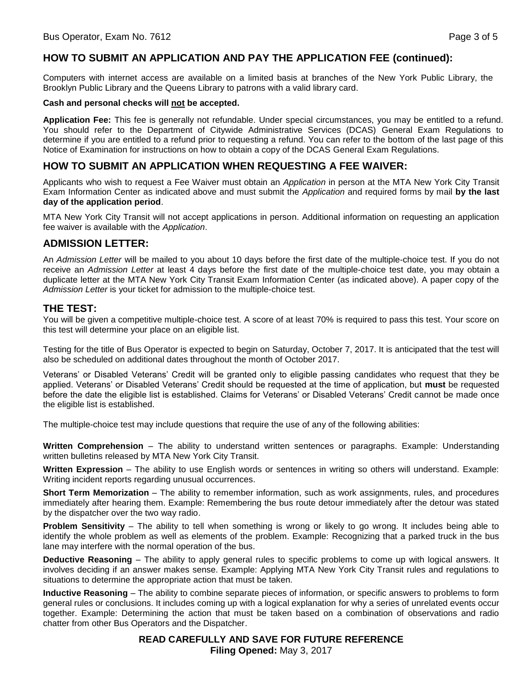## **HOW TO SUBMIT AN APPLICATION AND PAY THE APPLICATION FEE (continued):**

Computers with internet access are available on a limited basis at branches of the New York Public Library, the Brooklyn Public Library and the Queens Library to patrons with a valid library card.

#### **Cash and personal checks will not be accepted.**

**Application Fee:** This fee is generally not refundable. Under special circumstances, you may be entitled to a refund. You should refer to the Department of Citywide Administrative Services (DCAS) General Exam Regulations to determine if you are entitled to a refund prior to requesting a refund. You can refer to the bottom of the last page of this Notice of Examination for instructions on how to obtain a copy of the DCAS General Exam Regulations.

## **HOW TO SUBMIT AN APPLICATION WHEN REQUESTING A FEE WAIVER:**

Applicants who wish to request a Fee Waiver must obtain an *Application* in person at the MTA New York City Transit Exam Information Center as indicated above and must submit the *Application* and required forms by mail **by the last day of the application period**.

MTA New York City Transit will not accept applications in person. Additional information on requesting an application fee waiver is available with the *Application*.

## **ADMISSION LETTER:**

An *Admission Letter* will be mailed to you about 10 days before the first date of the multiple-choice test. If you do not receive an *Admission Letter* at least 4 days before the first date of the multiple-choice test date, you may obtain a duplicate letter at the MTA New York City Transit Exam Information Center (as indicated above). A paper copy of the *Admission Letter* is your ticket for admission to the multiple-choice test.

## **THE TEST:**

You will be given a competitive multiple-choice test. A score of at least 70% is required to pass this test. Your score on this test will determine your place on an eligible list.

Testing for the title of Bus Operator is expected to begin on Saturday, October 7, 2017. It is anticipated that the test will also be scheduled on additional dates throughout the month of October 2017.

Veterans' or Disabled Veterans' Credit will be granted only to eligible passing candidates who request that they be applied. Veterans' or Disabled Veterans' Credit should be requested at the time of application, but **must** be requested before the date the eligible list is established. Claims for Veterans' or Disabled Veterans' Credit cannot be made once the eligible list is established.

The multiple-choice test may include questions that require the use of any of the following abilities:

**Written Comprehension** – The ability to understand written sentences or paragraphs. Example: Understanding written bulletins released by MTA New York City Transit.

**Written Expression** – The ability to use English words or sentences in writing so others will understand. Example: Writing incident reports regarding unusual occurrences.

**Short Term Memorization** – The ability to remember information, such as work assignments, rules, and procedures immediately after hearing them. Example: Remembering the bus route detour immediately after the detour was stated by the dispatcher over the two way radio.

**Problem Sensitivity** – The ability to tell when something is wrong or likely to go wrong. It includes being able to identify the whole problem as well as elements of the problem. Example: Recognizing that a parked truck in the bus lane may interfere with the normal operation of the bus.

**Deductive Reasoning** – The ability to apply general rules to specific problems to come up with logical answers. It involves deciding if an answer makes sense. Example: Applying MTA New York City Transit rules and regulations to situations to determine the appropriate action that must be taken.

**Inductive Reasoning** – The ability to combine separate pieces of information, or specific answers to problems to form general rules or conclusions. It includes coming up with a logical explanation for why a series of unrelated events occur together. Example: Determining the action that must be taken based on a combination of observations and radio chatter from other Bus Operators and the Dispatcher.

> **READ CAREFULLY AND SAVE FOR FUTURE REFERENCE Filing Opened:** May 3, 2017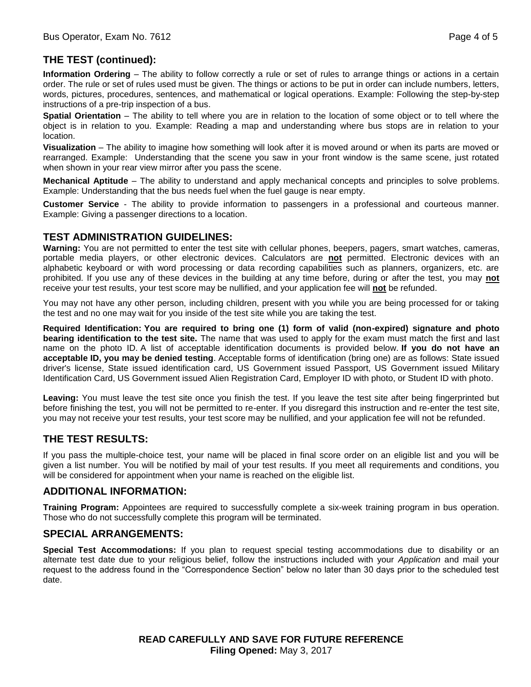# **THE TEST (continued):**

**Information Ordering** – The ability to follow correctly a rule or set of rules to arrange things or actions in a certain order. The rule or set of rules used must be given. The things or actions to be put in order can include numbers, letters, words, pictures, procedures, sentences, and mathematical or logical operations. Example: Following the step-by-step instructions of a pre-trip inspection of a bus.

**Spatial Orientation** – The ability to tell where you are in relation to the location of some object or to tell where the object is in relation to you. Example: Reading a map and understanding where bus stops are in relation to your location.

**Visualization** – The ability to imagine how something will look after it is moved around or when its parts are moved or rearranged. Example: Understanding that the scene you saw in your front window is the same scene, just rotated when shown in your rear view mirror after you pass the scene.

**Mechanical Aptitude** – The ability to understand and apply mechanical concepts and principles to solve problems. Example: Understanding that the bus needs fuel when the fuel gauge is near empty.

**Customer Service** - The ability to provide information to passengers in a professional and courteous manner. Example: Giving a passenger directions to a location.

#### **TEST ADMINISTRATION GUIDELINES:**

**Warning:** You are not permitted to enter the test site with cellular phones, beepers, pagers, smart watches, cameras, portable media players, or other electronic devices. Calculators are **not** permitted. Electronic devices with an alphabetic keyboard or with word processing or data recording capabilities such as planners, organizers, etc. are prohibited. If you use any of these devices in the building at any time before, during or after the test, you may **not** receive your test results, your test score may be nullified, and your application fee will **not** be refunded.

You may not have any other person, including children, present with you while you are being processed for or taking the test and no one may wait for you inside of the test site while you are taking the test.

**Required Identification: You are required to bring one (1) form of valid (non-expired) signature and photo bearing identification to the test site.** The name that was used to apply for the exam must match the first and last name on the photo ID. A list of acceptable identification documents is provided below. **If you do not have an acceptable ID, you may be denied testing**. Acceptable forms of identification (bring one) are as follows: State issued driver's license, State issued identification card, US Government issued Passport, US Government issued Military Identification Card, US Government issued Alien Registration Card, Employer ID with photo, or Student ID with photo.

**Leaving:** You must leave the test site once you finish the test. If you leave the test site after being fingerprinted but before finishing the test, you will not be permitted to re-enter. If you disregard this instruction and re-enter the test site, you may not receive your test results, your test score may be nullified, and your application fee will not be refunded.

## **THE TEST RESULTS:**

If you pass the multiple-choice test, your name will be placed in final score order on an eligible list and you will be given a list number. You will be notified by mail of your test results. If you meet all requirements and conditions, you will be considered for appointment when your name is reached on the eligible list.

#### **ADDITIONAL INFORMATION:**

**Training Program:** Appointees are required to successfully complete a six-week training program in bus operation. Those who do not successfully complete this program will be terminated.

#### **SPECIAL ARRANGEMENTS:**

**Special Test Accommodations:** If you plan to request special testing accommodations due to disability or an alternate test date due to your religious belief, follow the instructions included with your *Application* and mail your request to the address found in the "Correspondence Section" below no later than 30 days prior to the scheduled test date.